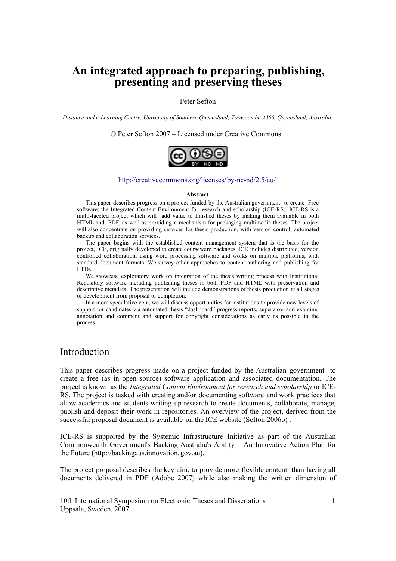# **An integrated approach to preparing, publishing, presenting and preserving theses**

#### Peter Sefton

*Distance and e-Learning Centre, University of Southern Queensland, Toowoomba 4350, Queensland, Australia* 

© Peter Sefton 2007 – Licensed under Creative Commons



#### <http://creativecommons.org/licenses/by-nc-nd/2.5/au/>

#### **Abstract**

This paper describes progress on a project funded by the Australian government to create Free software; the Integrated Content Environment for research and scholarship (ICE-RS). ICE-RS is a multi-faceted project which will add value to finished theses by making them available in both HTML and PDF, as well as providing a mechanism for packaging multimedia theses. The project will also concentrate on providing services for thesis production, with version control, automated backup and collaboration services.

The paper begins with the established content management system that is the basis for the project, ICE, originally developed to create courseware packages. ICE includes distributed, version controlled collaboration, using word processing software and works on multiple platforms, with standard document formats. We survey other approaches to content authoring and publishing for ETDs.

We showcase exploratory work on integration of the thesis writing process with Institutional Repository software including publishing theses in both PDF and HTML with preservation and descriptive metadata. The presentation will include demonstrations of thesis production at all stages of development from proposal to completion.

In a more speculative vein, we will discuss opport unities for institutions to provide new levels of support for candidates via automated thesis "dashboard" progress reports, supervisor and examiner annotation and comment and support for copyright considerations as early as possible in the process.

# Introduction

This paper describes progress made on a project funded by the Australian government to create a free (as in open source) software application and associated documentation. The project is known as the *Integrated Content Environment for research and scholarship* or ICE-RS. The project is tasked with creating and/or documenting software and work practices that allow academics and students writing-up research to create documents, collaborate, manage, publish and deposit their work in repositories. An overview of the project, derived from the successful proposal document is available on the ICE website (Sefton 2006b) .

ICE-RS is supported by the Systemic Infrastructure Initiative as part of the Australian Commonwealth Government's Backing Australia's Ability – An Innovative Action Plan for the Future (http://backingaus.innovation. gov.au).

The project proposal describes the key aim; to provide more flexible content than having all documents delivered in PDF (Adobe 2007) while also making the written dimension of

10th International Symposium on Electronic Theses and Dissertations 1 Uppsala, Sweden, 2007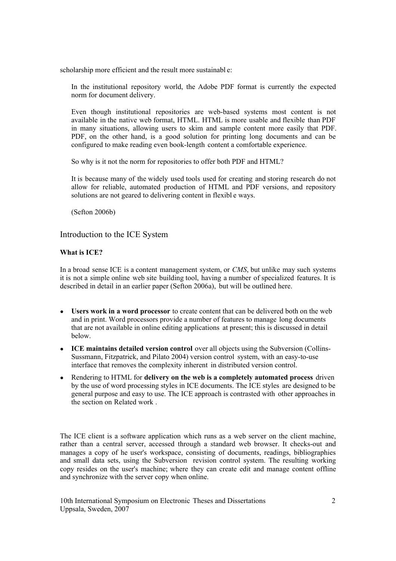scholarship more efficient and the result more sustainabl e:

In the institutional repository world, the Adobe PDF format is currently the expected norm for document delivery.

Even though institutional repositories are web-based systems most content is not available in the native web format, HTML. HTML is more usable and flexible than PDF in many situations, allowing users to skim and sample content more easily that PDF. PDF, on the other hand, is a good solution for printing long documents and can be configured to make reading even book-length content a comfortable experience.

So why is it not the norm for repositories to offer both PDF and HTML?

It is because many of the widely used tools used for creating and storing research do not allow for reliable, automated production of HTML and PDF versions, and repository solutions are not geared to delivering content in flexibl e ways.

(Sefton 2006b)

# Introduction to the ICE System

# **What is ICE?**

In a broad sense ICE is a content management system, or *CMS*, but unlike may such systems it is not a simple online web site building tool, having a number of specialized features. It is described in detail in an earlier paper (Sefton 2006a), but will be outlined here.

- **Users work in a word processor** to create content that can be delivered both on the web and in print. Word processors provide a number of features to manage long documents that are not available in online editing applications at present; this is discussed in detail below.
- **ICE maintains detailed version control** over all objects using the Subversion (Collins-Sussmann, Fitzpatrick, and Pilato 2004) version control system, with an easy-to-use interface that removes the complexity inherent in distributed version control.
- Rendering to HTML for **delivery on the web is a completely automated process** driven by the use of word processing styles in ICE documents. The ICE styles are designed to be general purpose and easy to use. The ICE approach is contrasted with other approaches in the section on [Related work .](#page-2-0)

The ICE client is a software application which runs as a web server on the client machine, rather than a central server, accessed through a standard web browser. It checks-out and manages a copy of he user's workspace, consisting of documents, readings, bibliographies and small data sets, using the Subversion revision control system. The resulting working copy resides on the user's machine; where they can create edit and manage content offline and synchronize with the server copy when online.

10th International Symposium on Electronic Theses and Dissertations 2 Uppsala, Sweden, 2007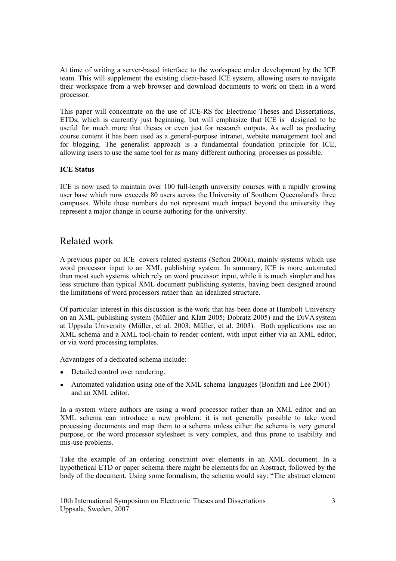At time of writing a server-based interface to the workspace under development by the ICE team. This will supplement the existing client-based ICE system, allowing users to navigate their workspace from a web browser and download documents to work on them in a word processor.

This paper will concentrate on the use of ICE-RS for Electronic Theses and Dissertations, ETDs, which is currently just beginning, but will emphasize that ICE is designed to be useful for much more that theses or even just for research outputs. As well as producing course content it has been used as a general-purpose intranet, website management tool and for blogging. The generalist approach is a fundamental foundation principle for ICE, allowing users to use the same tool for as many different authoring processes as possible.

# **ICE Status**

ICE is now used to maintain over 100 full-length university courses with a rapidly growing user base which now exceeds 80 users across the University of Southern Queensland's three campuses. While these numbers do not represent much impact beyond the university they represent a major change in course authoring for the university.

# <span id="page-2-0"></span>Related work

A previous paper on ICE covers related systems (Sefton 2006a), mainly systems which use word processor input to an XML publishing system. In summary, ICE is more automated than most such systems which rely on word processor input, while it is much simpler and has less structure than typical XML document publishing systems, having been designed around the limitations of word processors rather than an idealized structure.

Of particular interest in this discussion is the work that has been done at Humbolt University on an XML publishing system (Müller and Klatt 2005; Dobratz 2005) and the DiVA system at Uppsala University (Müller, et al. 2003; Müller, et al. 2003). Both applications use an XML schema and a XML tool-chain to render content, with input either via an XML editor, or via word processing templates.

Advantages of a dedicated schema include:

- Detailed control over rendering.
- Automated validation using one of the XML schema languages (Bonifati and Lee 2001) and an XML editor.

In a system where authors are using a word processor rather than an XML editor and an XML schema can introduce a new problem: it is not generally possible to take word processing documents and map them to a schema unless either the schema is very general purpose, or the word processor stylesheet is very complex, and thus prone to usability and mis-use problems.

Take the example of an ordering constraint over elements in an XML document. In a hypothetical ETD or paper schema there might be elements for an Abstract, followed by the body of the document. Using some formalism, the schema would say: "The abstract element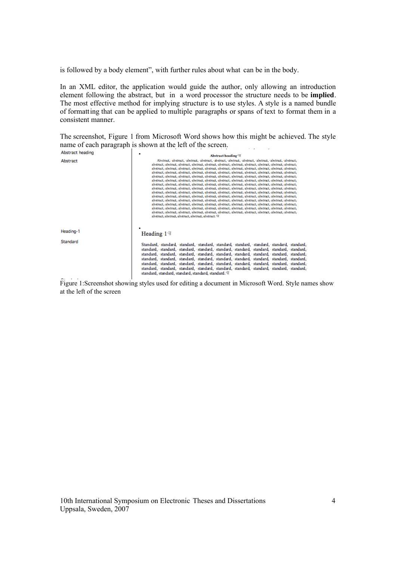is followed by a body element", with further rules about what can be in the body.

In an XML editor, the application would guide the author, only allowing an introduction element following the abstract, but in a word processor the structure needs to be **implied**. The most effective method for implying structure is to use styles. A style is a named bundle of formatting that can be applied to multiple paragraphs or spans of text to format them in a consistent manner.

The screenshot, Figure [1](#page-3-0) from Microsoft Word shows how this might be achieved. The style name of each paragraph is shown at the left of the screen. ر<br>در این ایرانیا (ایرانیا

| Abstract heading | Abstract heading H                                                                                                                                                                                                                                                                                                                                                                                                                                                                                                                                                                                                                                                                                                                                                                                                                                                                                                                                                                                                                                                                                                                                                                                                                                                                                                                                                                                                                                                                                                                                                                                                                                                                        |  |  |  |
|------------------|-------------------------------------------------------------------------------------------------------------------------------------------------------------------------------------------------------------------------------------------------------------------------------------------------------------------------------------------------------------------------------------------------------------------------------------------------------------------------------------------------------------------------------------------------------------------------------------------------------------------------------------------------------------------------------------------------------------------------------------------------------------------------------------------------------------------------------------------------------------------------------------------------------------------------------------------------------------------------------------------------------------------------------------------------------------------------------------------------------------------------------------------------------------------------------------------------------------------------------------------------------------------------------------------------------------------------------------------------------------------------------------------------------------------------------------------------------------------------------------------------------------------------------------------------------------------------------------------------------------------------------------------------------------------------------------------|--|--|--|
| Abstract         | Abstract, abstract, abstract, abstract, abstract, abstract, abstract, abstract, abstract, abstract,<br>abstract, abstract, abstract, abstract, abstract, abstract, abstract, abstract, abstract, abstract, abstract,<br>abstract, abstract, abstract, abstract, abstract, abstract, abstract, abstract, abstract, abstract, abstract,<br>abstract, abstract, abstract, abstract, abstract, abstract, abstract, abstract, abstract, abstract, abstract,<br>abstract, abstract, abstract, abstract, abstract, abstract, abstract, abstract, abstract, abstract, abstract,<br>abstract, abstract, abstract, abstract, abstract, abstract, abstract, abstract, abstract, abstract, abstract,<br>abstract, abstract, abstract, abstract, abstract, abstract, abstract, abstract, abstract, abstract, abstract,<br>abstract, abstract, abstract, abstract, abstract, abstract, abstract, abstract, abstract, abstract, abstract,<br>abstract, abstract, abstract, abstract, abstract, abstract, abstract, abstract, abstract, abstract, abstract,<br>abstract, abstract, abstract, abstract, abstract, abstract, abstract, abstract, abstract, abstract, abstract,<br>abstract, abstract, abstract, abstract, abstract, abstract, abstract, abstract, abstract, abstract, abstract,<br>abstract, abstract, abstract, abstract, abstract, abstract, abstract, abstract, abstract, abstract, abstract,<br>abstract, abstract, abstract, abstract, abstract, abstract, abstract, abstract, abstract, abstract, abstract,<br>abstract, abstract, abstract, abstract, abstract, abstract, abstract, abstract, abstract, abstract, abstract,<br>abstract, abstract, abstract, abstract, abstract. \!! |  |  |  |
| Heading-1        | Heading $1 \text{ } \text{ } \text{ } \text{ } \text{ } \text{ } \text{ } \text{ }$                                                                                                                                                                                                                                                                                                                                                                                                                                                                                                                                                                                                                                                                                                                                                                                                                                                                                                                                                                                                                                                                                                                                                                                                                                                                                                                                                                                                                                                                                                                                                                                                       |  |  |  |
| Standard         | Standard, standard, standard, standard, standard, standard, standard, standard, standard,<br>standard, standard, standard, standard, standard, standard, standard, standard, standard,<br>standard, standard, standard, standard, standard, standard, standard, standard, standard,<br>standard, standard, standard, standard, standard, standard, standard, standard, standard,<br>standard, standard, standard, standard, standard, standard, standard, standard, standard,<br>standard, standard, standard, standard, standard, standard, standard, standard, standard,<br>standard, standard, standard, standard, standard, H                                                                                                                                                                                                                                                                                                                                                                                                                                                                                                                                                                                                                                                                                                                                                                                                                                                                                                                                                                                                                                                         |  |  |  |

<span id="page-3-0"></span>Figure 1:Screenshot showing styles used for editing a document in Microsoft Word. Style names show at the left of the screen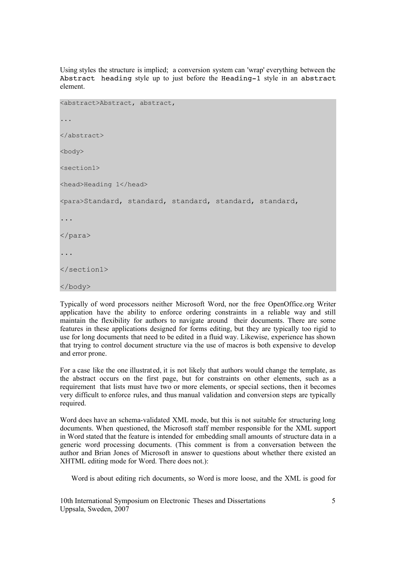Using styles the structure is implied; a conversion system can 'wrap' everything between the Abstract heading style up to just before the Heading-1 style in an abstract element.

```
<abstract>Abstract, abstract, 
...
</abstract>
<body>
<section1>
<head>Heading 1</head>
<para>Standard, standard, standard, standard, standard, 
...
</para>
...
</section1>
</body>
```
Typically of word processors neither Microsoft Word, nor the free OpenOffice.org Writer application have the ability to enforce ordering constraints in a reliable way and still maintain the flexibility for authors to navigate around their documents. There are some features in these applications designed for forms editing, but they are typically too rigid to use for long documents that need to be edited in a fluid way. Likewise, experience has shown that trying to control document structure via the use of macros is both expensive to develop and error prone.

For a case like the one illustrated, it is not likely that authors would change the template, as the abstract occurs on the first page, but for constraints on other elements, such as a requirement that lists must have two or more elements, or special sections, then it becomes very difficult to enforce rules, and thus manual validation and conversion steps are typically required.

Word does have an schema-validated XML mode, but this is not suitable for structuring long documents. When questioned, the Microsoft staff member responsible for the XML support in Word stated that the feature is intended for embedding small amounts of structure data in a generic word processing documents. (This comment is from a conversation between the author and Brian Jones of Microsoft in answer to questions about whether there existed an XHTML editing mode for Word. There does not.):

Word is about editing rich documents, so Word is more loose, and the XML is good for

10th International Symposium on Electronic Theses and Dissertations 5 Uppsala, Sweden, 2007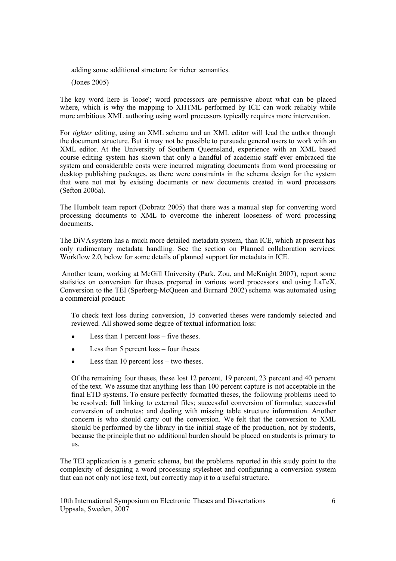adding some additional structure for richer semantics.

(Jones 2005)

The key word here is 'loose'; word processors are permissive about what can be placed where, which is why the mapping to XHTML performed by ICE can work reliably while more ambitious XML authoring using word processors typically requires more intervention.

For *tighter* editing, using an XML schema and an XML editor will lead the author through the document structure. But it may not be possible to persuade general users to work with an XML editor. At the University of Southern Queensland, experience with an XML based course editing system has shown that only a handful of academic staff ever embraced the system and considerable costs were incurred migrating documents from word processing or desktop publishing packages, as there were constraints in the schema design for the system that were not met by existing documents or new documents created in word processors (Sefton 2006a).

The Humbolt team report (Dobratz 2005) that there was a manual step for converting word processing documents to XML to overcome the inherent looseness of word processing documents.

The DiVA system has a much more detailed metadata system, than ICE, which at present has only rudimentary metadata handling. See the section on Planned [collaboration](#page-17-0) services: [Workflow 2.0, below](#page-17-0) for some details of planned support for metadata in ICE.

Another team, working at McGill University (Park, Zou, and McKnight 2007), report some statistics on conversion for theses prepared in various word processors and using LaTeX. Conversion to the TEI (Sperberg-McQueen and Burnard 2002) schema was automated using a commercial product:

To check text loss during conversion, 15 converted theses were randomly selected and reviewed. All showed some degree of textual information loss:

- Less than 1 percent  $loss$  five theses.
- Less than  $5$  percent loss four theses.
- Less than 10 percent loss two theses.

Of the remaining four theses, these lost 12 percent, 19 percent, 23 percent and 40 percent of the text. We assume that anything less than 100 percent capture is not acceptable in the final ETD systems. To ensure perfectly formatted theses, the following problems need to be resolved: full linking to external files; successful conversion of formulae; successful conversion of endnotes; and dealing with missing table structure information. Another concern is who should carry out the conversion. We felt that the conversion to XML should be performed by the library in the initial stage of the production, not by students, because the principle that no additional burden should be placed on students is primary to us.

The TEI application is a generic schema, but the problems reported in this study point to the complexity of designing a word processing stylesheet and configuring a conversion system that can not only not lose text, but correctly map it to a useful structure.

10th International Symposium on Electronic Theses and Dissertations 6 Uppsala, Sweden, 2007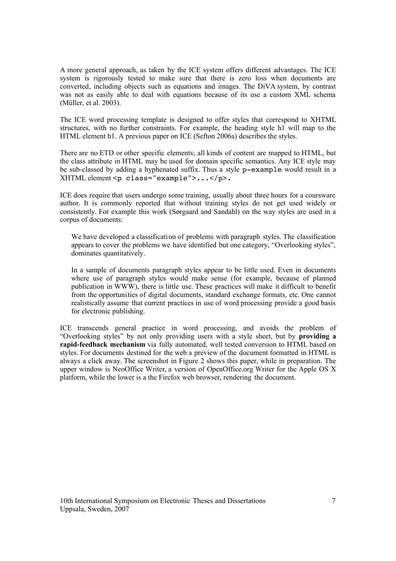A more general approach, as taken by the ICE system offers different advantages. The ICE system is rigorously tested to make sure that there is zero loss when documents are converted, including objects such as equations and images. The DiVA system, by contrast was not as easily able to deal with equations because of its use a custom XML schema (Müller, et al. 2003).

The ICE word processing template is designed to offer styles that correspond to XHTML structures, with no further constraints. For example, the heading style h1 will map to the HTML element h1. A previous paper on ICE (Sefton 2006a) describes the styles.

There are no ETD or other specific elements; all kinds of content are mapped to HTML, but the class attribute in HTML may be used for domain specific semantics. Any ICE style may be sub-classed by adding a hyphenated suffix. Thus a style p-example would result in a XHTML element <p class="example">...</p>.

ICE does require that users undergo some training, usually about three hours for a coursware author. It is commonly reported that without training styles do not get used widely or consistently. For example this work (Sørgaard and Sandahl) on the way styles are used in a corpus of documents:

We have developed a classification of problems with paragraph styles. The classification appears to cover the problems we have identified but one category, "Overlooking styles", dominates quantitatively.

In a sample of documents paragraph styles appear to be little used. Even in documents where use of paragraph styles would make sense (for example, because of planned publication in WWW), there is little use. These practices will make it difficult to benefit from the opportunities of digital documents, standard exchange formats, etc. One cannot realistically assume that current practices in use of word processing provide a good basis for electronic publishing.

ICE transcends general practice in word processing, and avoids the problem of "Overlooking styles" by not only providing users with a style sheet, but by **providing a rapid-feedback mechanism** via fully automated, well tested conversion to HTML based on styles. For documents destined for the web a preview of the document formatted in HTML is always a click away. The screenshot in Figure [2](#page-7-0) shows this paper, while in preparation. The upper window is NeoOffice Writer, a version of OpenOffice.org Writer for the Apple OS X platform, while the lower is a the Firefox web browser, rendering the document.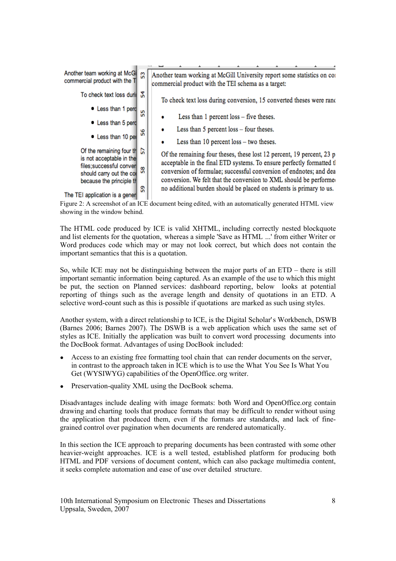

<span id="page-7-0"></span>showing in the window behind.

The HTML code produced by ICE is valid XHTML, including correctly nested blockquote and list elements for the quotation, whereas a simple 'Save as HTML ...' from either Writer or Word produces code which may or may not look correct, but which does not contain the important semantics that this is a quotation.

So, while ICE may not be distinguishing between the major parts of an ETD – there is still important semantic information being captured. As an example of the use to which this might be put, the section on Planned services: [dashboard](#page-19-0) reporting, [below](#page-19-0) looks at potential reporting of things such as the average length and density of quotations in an ETD. A selective word-count such as this is possible if quotations are marked as such using styles.

Another system, with a direct relationshi p to ICE, is the Digital Scholar's Workbench, DSWB (Barnes 2006; Barnes 2007). The DSWB is a web application which uses the same set of styles as ICE. Initially the application was built to convert word processing documents into the DocBook format. Advantages of using DocBook included:

- Access to an existing free formatting tool chain that can render documents on the server, in contrast to the approach taken in ICE which is to use the What You See Is What You Get (WYSIWYG) capabilities of the OpenOffice.org writer.
- Preservation-quality XML using the DocBook schema.

Disadvantages include dealing with image formats: both Word and OpenOffice.org contain drawing and charting tools that produce formats that may be difficult to render without using the application that produced them, even if the formats are standards, and lack of finegrained control over pagination when documents are rendered automatically.

In this section the ICE approach to preparing documents has been contrasted with some other heavier-weight approaches. ICE is a well tested, established platform for producing both HTML and PDF versions of document content, which can also package multimedia content, it seeks complete automation and ease of use over detailed structure.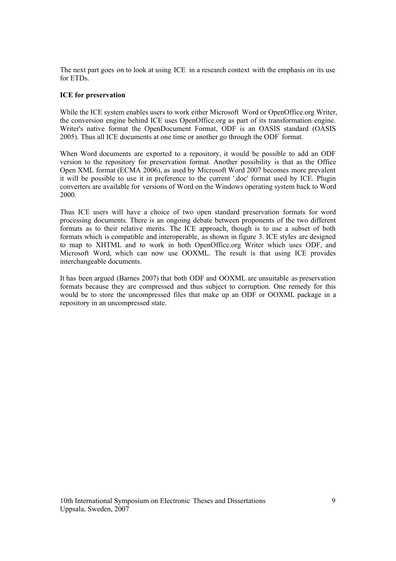The next part goes on to look at using ICE in a research context with the emphasis on its use for ETDs.

#### <span id="page-8-0"></span>**ICE for preservation**

While the ICE system enables users to work either Microsoft Word or OpenOffice.org Writer, the conversion engine behind ICE uses OpenOffice.org as part of its transformation engine. Writer's native format the OpenDocument Format, ODF is an OASIS standard (OASIS 2005). Thus all ICE documents at one time or another go through the ODF format.

When Word documents are exported to a repository, it would be possible to add an ODF version to the repository for preservation format. Another possibility is that as the Office Open XML format (ECMA 2006), as used by Microsoft Word 2007 becomes more prevalent it will be possible to use it in preference to the current '.doc' format used by ICE. Plugin converters are available for versions of Word on the Windows operating system back to Word 2000.

Thus ICE users will have a choice of two open standard preservation formats for word processing documents. There is an ongoing debate between proponents of the two different formats as to their relative merits. The ICE approach, though is to use a subset of both formats which is compatible and interoperable, as shown in figure [3.](#page-9-0) ICE styles are designed to map to XHTML and to work in both OpenOffice.org Writer which uses ODF, and Microsoft Word, which can now use OOXML. The result is that using ICE provides interchangeable documents.

It has been argued (Barnes 2007) that both ODF and OOXML are unsuitable as preservation formats because they are compressed and thus subject to corruption. One remedy for this would be to store the uncompressed files that make up an ODF or OOXML package in a repository in an uncompressed state.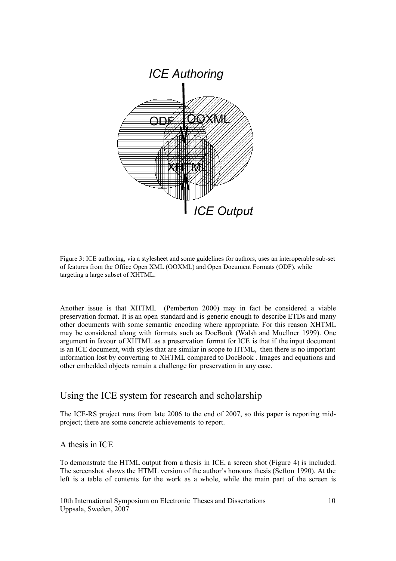

<span id="page-9-0"></span>Figure 3: ICE authoring, via a stylesheet and some guidelines for authors, uses an interoperable sub-set of features from the Office Open XML (OOXML) and Open Document Formats (ODF), while targeting a large subset of XHTML.

Another issue is that XHTML (Pemberton 2000) may in fact be considered a viable preservation format. It is an open standard and is generic enough to describe ETDs and many other documents with some semantic encoding where appropriate. For this reason XHTML may be considered along with formats such as DocBook (Walsh and Muellner 1999). One argument in favour of XHTML as a preservation format for ICE is that if the input document is an ICE document, with styles that are similar in scope to HTML, then there is no important information lost by converting to XHTML compared to DocBook . Images and equations and other embedded objects remain a challenge for preservation in any case.

# Using the ICE system for research and scholarship

The ICE-RS project runs from late 2006 to the end of 2007, so this paper is reporting midproject; there are some concrete achievements to report.

A thesis in ICE

To demonstrate the HTML output from a thesis in ICE, a screen shot (Figure [4\)](#page-10-0) is included. The screenshot shows the HTML version of the author's honours thesis (Sefton 1990). At the left is a table of contents for the work as a whole, while the main part of the screen is

10th International Symposium on Electronic Theses and Dissertations 10 Uppsala, Sweden, 2007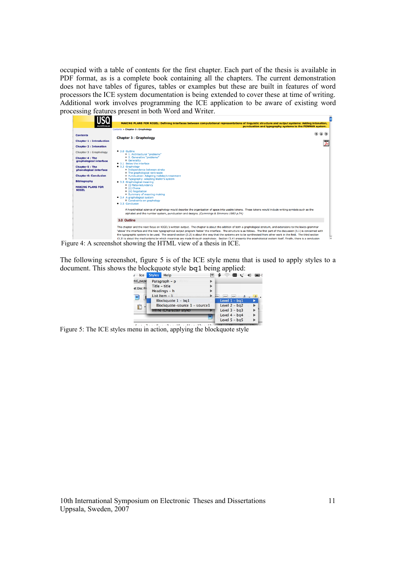occupied with a table of contents for the first chapter. Each part of the thesis is available in PDF format, as is a complete book containing all the chapters. The current demonstration does not have tables of figures, tables or examples but these are built in features of word processors the ICE system documentation is being extended to cover these at time of writing. Additional work involves programming the ICE application to be aware of existing word processing features present in both Word and Writer.



<span id="page-10-0"></span>

The following screenshot, figure [5](#page-10-1) is of the ICE style menu that is used to apply styles to a document. This shows the blockquote style bq1 being applied:

| V         | Ice      | <b>Styles</b> | Help                          | ৱি |                 | $\widehat{\mathbb{R}}$ ( $\oplus$ ) ( $\oplus$ ) |  |
|-----------|----------|---------------|-------------------------------|----|-----------------|--------------------------------------------------|--|
|           | etd_pape |               | Paragraph $-p$                |    |                 |                                                  |  |
| et Doc Pr |          |               | Title - title                 |    |                 |                                                  |  |
|           |          |               | Headings - h                  |    |                 |                                                  |  |
|           |          |               | List Item - li                |    | $\leftarrow$    |                                                  |  |
|           |          |               | Blockquote 1 - bq1            |    | Level $1 - bq1$ |                                                  |  |
|           |          |               | Blockquote-source 1 - source1 |    | Level $2 - bq2$ |                                                  |  |
|           |          |               | Inline (Character style)      |    | Level $3 - bq3$ |                                                  |  |
|           |          |               |                               |    | Level $4 - ba4$ |                                                  |  |
|           |          |               |                               |    | Level $5 - bg5$ |                                                  |  |
|           |          |               |                               |    |                 |                                                  |  |

<span id="page-10-1"></span>Figure 5: The ICE styles menu in action, applying the blockquote style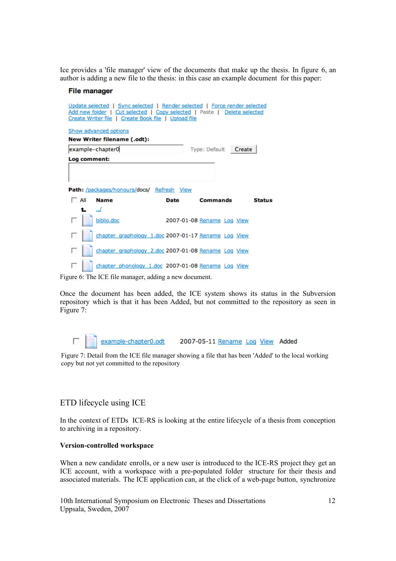Ice provides a 'file manager' view of the documents that make up the thesis. In figure [6,](#page-11-1) an author is adding a new file to the thesis: in this case an example document for this paper:

#### **File manager**

| Update selected   Sync selected   Render selected   Force render selected<br>Add new folder   Cut selected   Copy selected   Paste   Delete selected<br>Create Writer file   Create Book file   Upload file |     |                                                     |      |                            |        |
|-------------------------------------------------------------------------------------------------------------------------------------------------------------------------------------------------------------|-----|-----------------------------------------------------|------|----------------------------|--------|
|                                                                                                                                                                                                             |     | Show advanced options                               |      |                            |        |
|                                                                                                                                                                                                             |     | <b>New Writer filename (.odt):</b>                  |      |                            |        |
|                                                                                                                                                                                                             |     | example-chapter0                                    |      | Type: Default              | Create |
|                                                                                                                                                                                                             |     | Log comment:                                        |      |                            |        |
|                                                                                                                                                                                                             |     |                                                     |      |                            |        |
|                                                                                                                                                                                                             |     |                                                     |      |                            |        |
|                                                                                                                                                                                                             |     | Path: /packages/honours/docs/ Refresh View          |      |                            |        |
|                                                                                                                                                                                                             | All | <b>Name</b>                                         | Date | Commands                   | Status |
|                                                                                                                                                                                                             | t.  | $\cdot$ ./                                          |      |                            |        |
|                                                                                                                                                                                                             |     | biblio.doc                                          |      | 2007-01-08 Rename Log View |        |
|                                                                                                                                                                                                             |     | chapter_graphology_1.doc 2007-01-17 Rename_Log_View |      |                            |        |
|                                                                                                                                                                                                             |     | chapter_graphology_2.doc 2007-01-08 Rename_Log_View |      |                            |        |
|                                                                                                                                                                                                             |     | chapter_phonology_1.doc 2007-01-08 Rename_Log_View  |      |                            |        |

<span id="page-11-1"></span>Figure 6: The ICE file manager, adding a new document.

Once the document has been added, the ICE system shows its status in the Subversion repository which is that it has been Added, but not committed to the repository as seen in Figure [7:](#page-11-0)

<span id="page-11-0"></span>

|  | example-chapter0.odt | 2007-05-11 Rename Log View Added |  |
|--|----------------------|----------------------------------|--|
|  |                      |                                  |  |

Figure 7: Detail from the ICE file manager showing a file that has been 'Added' to the local working copy but not yet committed to the repository

# ETD lifecycle using ICE

In the context of ETDs ICE-RS is looking at the entire lifecycle of a thesis from conception to archiving in a repository.

#### **Version-controlled workspace**

When a new candidate enrolls, or a new user is introduced to the ICE-RS project they get an ICE account, with a workspace with a pre-populated folder structure for their thesis and associated materials. The ICE application can, at the click of a web-page button, synchronize

10th International Symposium on Electronic Theses and Dissertations 12 Uppsala, Sweden, 2007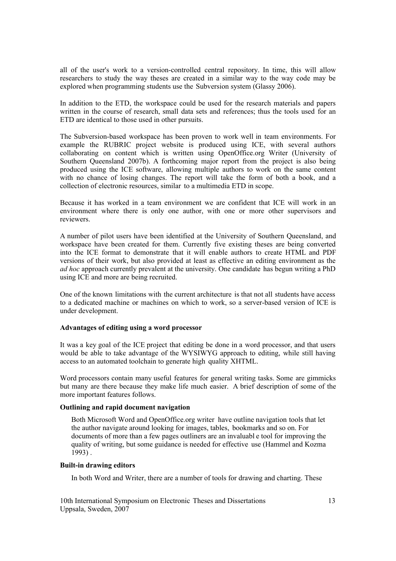all of the user's work to a version-controlled central repository. In time, this will allow researchers to study the way theses are created in a similar way to the way code may be explored when programming students use the Subversion system (Glassy 2006).

In addition to the ETD, the workspace could be used for the research materials and papers written in the course of research, small data sets and references; thus the tools used for an ETD are identical to those used in other pursuits.

The Subversion-based workspace has been proven to work well in team environments. For example the RUBRIC project website is produced using ICE, with several authors collaborating on content which is written using OpenOffice.org Writer (University of Southern Queensland 2007b). A forthcoming major report from the project is also being produced using the ICE software, allowing multiple authors to work on the same content with no chance of losing changes. The report will take the form of both a book, and a collection of electronic resources, similar to a multimedia ETD in scope.

Because it has worked in a team environment we are confident that ICE will work in an environment where there is only one author, with one or more other supervisors and reviewers.

A number of pilot users have been identified at the University of Southern Queensland, and workspace have been created for them. Currently five existing theses are being converted into the ICE format to demonstrate that it will enable authors to create HTML and PDF versions of their work, but also provided at least as effective an editing environment as the *ad hoc* approach currently prevalent at the university. One candidate has begun writing a PhD using ICE and more are being recruited.

One of the known limitations with the current architecture is that not all students have access to a dedicated machine or machines on which to work, so a server-based version of ICE is under development.

#### **Advantages of editing using a word processor**

It was a key goal of the ICE project that editing be done in a word processor, and that users would be able to take advantage of the WYSIWYG approach to editing, while still having access to an automated toolchain to generate high quality XHTML.

Word processors contain many useful features for general writing tasks. Some are gimmicks but many are there because they make life much easier. A brief description of some of the more important features follows.

#### **Outlining and rapid document navigation**

Both Microsoft Word and OpenOffice.org writer have outline navigation tools that let the author navigate around looking for images, tables, bookmarks and so on. For documents of more than a few pages outliners are an invaluabl e tool for improving the quality of writing, but some guidance is needed for effective use (Hammel and Kozma 1993) .

#### **Built-in drawing editors**

In both Word and Writer, there are a number of tools for drawing and charting. These

10th International Symposium on Electronic Theses and Dissertations 13 Uppsala, Sweden, 2007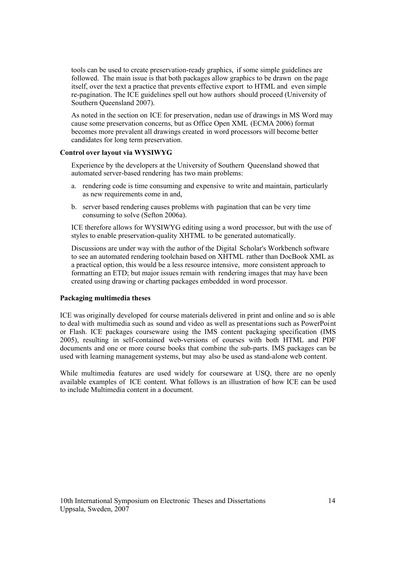tools can be used to create preservation-ready graphics, if some simple guidelines are followed. The main issue is that both packages allow graphics to be drawn on the page itself, over the text a practice that prevents effective export to HTML and even simple re-pagination. The ICE guidelines spell out how authors should proceed (University of Southern Queensland 2007).

As noted in the section on [ICE for preservation, nedan](#page-8-0) use of drawings in MS Word may cause some preservation concerns, but as Office Open XML (ECMA 2006) format becomes more prevalent all drawings created in word processors will become better candidates for long term preservation.

### **Control over layout via WYSIWYG**

Experience by the developers at the University of Southern Queensland showed that automated server-based rendering has two main problems:

- a. rendering code is time consuming and expensive to write and maintain, particularly as new requirements come in and,
- b. server based rendering causes problems with pagination that can be very time consuming to solve (Sefton 2006a).

ICE therefore allows for WYSIWYG editing using a word processor, but with the use of styles to enable preservation-quality XHTML to be generated automatically.

Discussions are under way with the author of the Digital Scholar's Workbench software to see an automated rendering toolchain based on XHTML rather than DocBook XML as a practical option, this would be a less resource intensive, more consistent approach to formatting an ETD; but major issues remain with rendering images that may have been created using drawing or charting packages embedded in word processor.

#### <span id="page-13-0"></span>**Packaging multimedia theses**

ICE was originally developed for course materials delivered in print and online and so is able to deal with multimedia such as sound and video as well as presentations such as PowerPoint or Flash. ICE packages courseware using the IMS content packaging specification (IMS 2005), resulting in self-contained web-versions of courses with both HTML and PDF documents and one or more course books that combine the sub-parts. IMS packages can be used with learning management systems, but may also be used as stand-alone web content.

While multimedia features are used widely for courseware at USQ, there are no openly available examples of ICE content. What follows is an illustration of how ICE can be used to include Multimedia content in a document.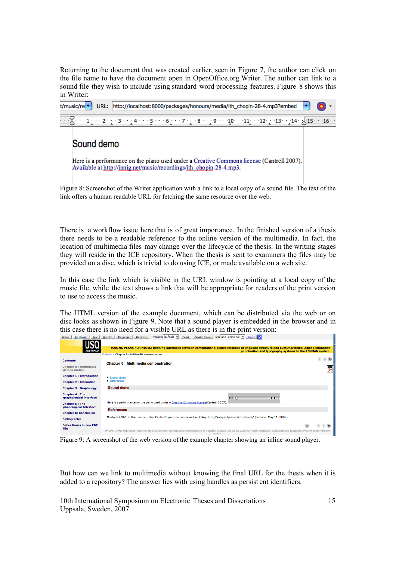Returning to the document that was created earlier, seen in Figure [7,](#page-11-0) the author can click on the file name to have the document open in OpenOffice.org Writer. The author can link to a sound file they wish to include using standard word processing features. Figure [8](#page-14-1) shows this in Writer:

| URL: http://localhost:8000/packages/honours/media/ith_chopin-28-4.mp3?embed<br>t/music/re v                                                                          |  |
|----------------------------------------------------------------------------------------------------------------------------------------------------------------------|--|
| $\cdots$ $\sqrt{2}$ and $1$ and $2$ and $3$ and $4$ and $5$ and $6$ and $7$ and $8$ and $9$ and $40$ and $11$ and $12$ and $13$ and $14$ and $\sqrt{15}$ and $6$ and |  |
| Sound demo                                                                                                                                                           |  |
| Here is a performance on the piano used under a Creative Commons license (Cantrell 2007).<br>Available at http://innig.net/music/recordings/ith_chopin-28-4.mp3.     |  |

<span id="page-14-1"></span>Figure 8: Screenshot of the Writer application with a link to a local copy of a sound file. The text of the link offers a human readable URL for fetching the same resource over the web.

There is a workflow issue here that is of great importance. In the finished version of a thesis there needs to be a readable reference to the online version of the multimedia. In fact, the location of multimedia files may change over the lifecycle of the thesis. In the writing stages they will reside in the ICE repository. When the thesis is sent to examiners the files may be provided on a disc, which is trivial to do using ICE, or made available on a web site.

In this case the link which is visible in the URL window is pointing at a local copy of the music file, while the text shows a link that will be appropriate for readers of the print version to use to access the music.

The HTML version of the example document, which can be distributed via the web or on disc looks as shown in Figure [9.](#page-14-0) Note that a sound player is embedded in the browser and in this case there is no need for a visible URL as there is in the print version:

| <b>Solomonia</b>                                 | sidence. I includingly currentially curbined permane. I exhaust exhausterized inchiland=besonally contact the                                                                                                |
|--------------------------------------------------|--------------------------------------------------------------------------------------------------------------------------------------------------------------------------------------------------------------|
|                                                  |                                                                                                                                                                                                              |
| <b>AUSTRALIA</b>                                 | MAKING PLANS FOR NIGEL: Defining interfaces between computational representations of linguistic structure and output systems: Adding intonation,<br>punctuation and typography systems to the PENMAN system. |
|                                                  | Contents > Chapter 0 : Multimedia demonstration                                                                                                                                                              |
| <b>Contents</b>                                  | <b>Chapter 0: Multimedia demonstration</b>                                                                                                                                                                   |
| Chapter 0 : Multimedia<br>demonstration          | 罗                                                                                                                                                                                                            |
| <b>Chapter 1: Introduction</b>                   | $\bullet$ Sound demo                                                                                                                                                                                         |
| <b>Chapter 2 : Intonation</b>                    | • References                                                                                                                                                                                                 |
| <b>Chapter 3 : Graphology</b>                    | <b>Sound demo</b>                                                                                                                                                                                            |
| <b>Chapter 4: The</b><br>graphological interface | $+$ $+$ $+$<br>$4B \times$                                                                                                                                                                                   |
| <b>Chapter 5: The</b>                            | Here is a performance on the piano used under a Creative Commons license(Cantrell 2007).                                                                                                                     |
| phonological Interface                           | <b>References</b>                                                                                                                                                                                            |
| <b>Chapter 6: Conclusion</b>                     |                                                                                                                                                                                                              |
| <b>Bibliography</b>                              | Cantrell. 2007. In the Hands - Paul Cantrell's piano music podcast and blog. http://innig.net/music/inthehands/ (accessed May 11, 2007).                                                                     |
| <b>Entire thesis in one PDF</b><br>file          |                                                                                                                                                                                                              |
|                                                  | MAKING PLANS FOR NIGEL: Defining interfaces between computational representations of linguistic structure and output systems: Adding intonation, punctuation and typography systems to the PENMAN            |

<span id="page-14-0"></span>Figure 9: A screenshot of the web version of the example chapter showing an inline sound player.

But how can we link to multimedia without knowing the final URL for the thesis when it is added to a repository? The answer lies with using handles as persist ent identifiers.

10th International Symposium on Electronic Theses and Dissertations 15 Uppsala, Sweden, 2007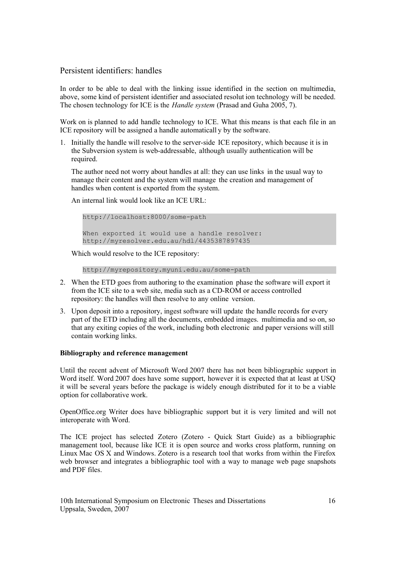# Persistent identifiers: handles

In order to be able to deal with the linking issue identified in the section on multimedia, [above,](#page-13-0) some kind of persistent identifier and associated resolut ion technology will be needed. The chosen technology for ICE is the *Handle system* (Prasad and Guha 2005, 7).

Work on is planned to add handle technology to ICE. What this means is that each file in an ICE repository will be assigned a handle automaticall y by the software.

1. Initially the handle will resolve to the server-side ICE repository, which because it is in the Subversion system is web-addressable, although usually authentication will be required.

The author need not worry about handles at all: they can use links in the usual way to manage their content and the system will manage the creation and management of handles when content is exported from the system.

An internal link would look like an ICE URL:

http://localhost:8000/some-path When exported it would use a handle resolver: http://myresolver.edu.au/hdl/4435387897435

Which would resolve to the ICE repository:

```
http://myrepository.myuni.edu.au/some-path
```
- 2. When the ETD goes from authoring to the examination phase the software will export it from the ICE site to a web site, media such as a CD-ROM or access controlled repository: the handles will then resolve to any online version.
- 3. Upon deposit into a repository, ingest software will update the handle records for every part of the ETD including all the documents, embedded images. multimedia and so on, so that any exiting copies of the work, including both electronic and paper versions will still contain working links.

# **Bibliography and reference management**

Until the recent advent of Microsoft Word 2007 there has not been bibliographic support in Word itself. Word 2007 does have some support, however it is expected that at least at USQ it will be several years before the package is widely enough distributed for it to be a viable option for collaborative work.

OpenOffice.org Writer does have bibliographic support but it is very limited and will not interoperate with Word.

The ICE project has selected Zotero (Zotero - Quick Start Guide) as a bibliographic management tool, because like ICE it is open source and works cross platform, running on Linux Mac OS X and Windows. Zotero is a research tool that works from within the Firefox web browser and integrates a bibliographic tool with a way to manage web page snapshots and PDF files.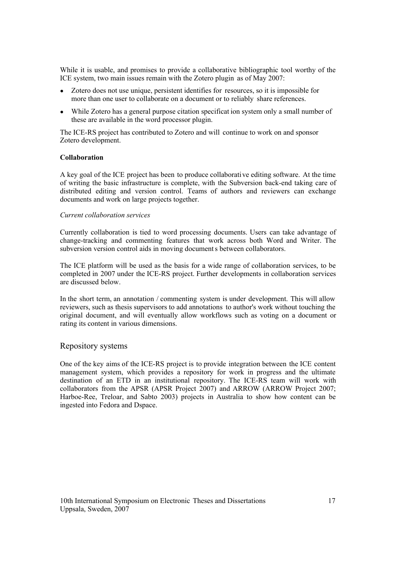While it is usable, and promises to provide a collaborative bibliographic tool worthy of the ICE system, two main issues remain with the Zotero plugin as of May 2007:

- Zotero does not use unique, persistent identifies for resources, so it is impossible for more than one user to collaborate on a document or to reliably share references.
- While Zotero has a general purpose citation specification system only a small number of these are available in the word processor plugin.

The ICE-RS project has contributed to Zotero and will continue to work on and sponsor Zotero development.

#### **Collaboration**

A key goal of the ICE project has been to produce collaborative editing software. At the time of writing the basic infrastructure is complete, with the Subversion back-end taking care of distributed editing and version control. Teams of authors and reviewers can exchange documents and work on large projects together.

#### *Current collaboration services*

Currently collaboration is tied to word processing documents. Users can take advantage of change-tracking and commenting features that work across both Word and Writer. The subversion version control aids in moving documents between collaborators.

The ICE platform will be used as the basis for a wide range of collaboration services, to be completed in 2007 under the ICE-RS project. Further developments in collaboration services are discussed [below.](#page-17-0)

In the short term, an annotation / commenting system is under development. This will allow reviewers, such as thesis supervisors to add annotations to author's work without touching the original document, and will eventually allow workflows such as voting on a document or rating its content in various dimensions.

# Repository systems

One of the key aims of the ICE-RS project is to provide integration between the ICE content management system, which provides a repository for work in progress and the ultimate destination of an ETD in an institutional repository. The ICE-RS team will work with collaborators from the APSR (APSR Project 2007) and ARROW (ARROW Project 2007; Harboe-Ree, Treloar, and Sabto 2003) projects in Australia to show how content can be ingested into Fedora and Dspace.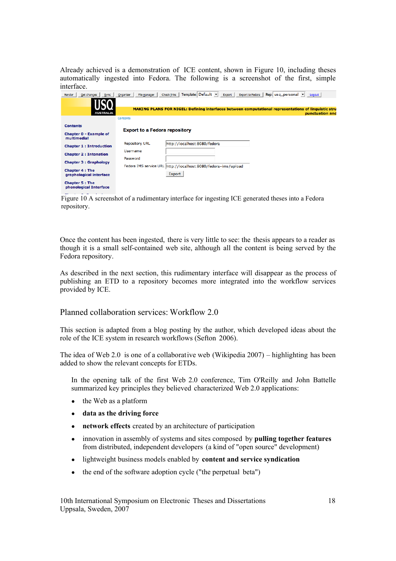Already achieved is a demonstration of ICE content, shown in Figure [10,](#page-17-1) including theses automatically ingested into Fedora. The following is a screenshot of the first, simple interface.

| Get changes<br>Sync<br>Render                    | Template: Default v<br><b>Check links</b><br>Rep: $usq_personal$ $\blacktriangledown$<br><b>Export to Fedora</b><br><b>Export</b><br>Organizer<br>File manager<br>Logout |
|--------------------------------------------------|--------------------------------------------------------------------------------------------------------------------------------------------------------------------------|
|                                                  |                                                                                                                                                                          |
| <b>AUSTRALIA</b>                                 | MAKING PLANS FOR NIGEL: Defining interfaces between computational representations of linguistic stru<br>punctuation and                                                  |
|                                                  | Contents                                                                                                                                                                 |
| <b>Contents</b>                                  | <b>Export to a Fedora repository</b>                                                                                                                                     |
| <b>Chapter 0 - Example of</b><br>multimedia!     |                                                                                                                                                                          |
| <b>Chapter 1: Introduction</b>                   | http://localhost:8080/fedora<br><b>Repository URL</b>                                                                                                                    |
| <b>Chapter 2: Intonation</b>                     | Username<br>Password                                                                                                                                                     |
| <b>Chapter 3 : Graphology</b>                    | Fedora IMS service URL http://localhost:8080/fedora-ims/upload                                                                                                           |
| <b>Chapter 4: The</b><br>graphological interface | Export                                                                                                                                                                   |
| <b>Chapter 5: The</b><br>phonological Interface  |                                                                                                                                                                          |

<span id="page-17-1"></span>Figure 10 A screenshot of a rudimentary interface for ingesting ICE generated theses into a Fedora repository.

Once the content has been ingested, there is very little to see: the thesis appears to a reader as though it is a small self-contained web site, although all the content is being served by the Fedora repository.

As described in the next section, this rudimentary interface will disappear as the process of publishing an ETD to a repository becomes more integrated into the workflow services provided by ICE.

# <span id="page-17-0"></span>Planned collaboration services: Workflow 2.0

This section is adapted from a blog posting by the author, which developed ideas about the role of the ICE system in research workflows (Sefton 2006).

The idea of Web 2.0 is one of a collaborative web (Wikipedia 2007) – highlighting has been added to show the relevant concepts for ETDs.

In the opening talk of the first Web 2.0 conference, Tim O'Reilly and John Battelle summarized key principles they believed characterized Web 2.0 applications:

- the Web as a platform
- **data as the driving force**
- **network effects** created by an architecture of participation
- innovation in assembly of systems and sites composed by **pulling together features** from distributed, independent developers (a kind of "open source" development)
- lightweight business models enabled by **content and service syndication**
- the end of the software adoption cycle ("the perpetual beta")

10th International Symposium on Electronic Theses and Dissertations 18 Uppsala, Sweden, 2007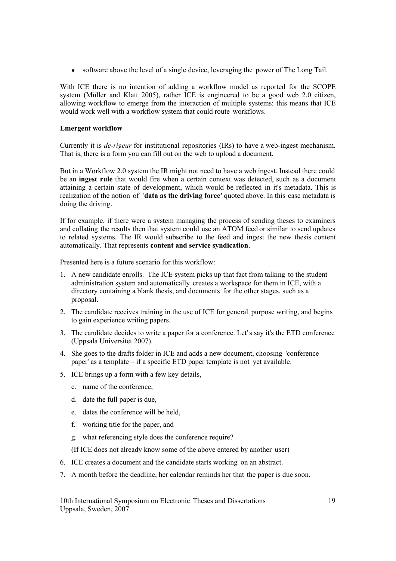• software above the level of a single device, leveraging the power of The Long Tail.

With ICE there is no intention of adding a workflow model as reported for the SCOPE system (Müller and Klatt 2005), rather ICE is engineered to be a good web 2.0 citizen, allowing workflow to emerge from the interaction of multiple systems: this means that ICE would work well with a workflow system that could route workflows.

# **Emergent workflow**

Currently it is *de-rigeur* for institutional repositories (IRs) to have a web-ingest mechanism. That is, there is a form you can fill out on the web to upload a document.

But in a Workflow 2.0 system the IR might not need to have a web ingest. Instead there could be an **ingest rule** that would fire when a certain context was detected, such as a document attaining a certain state of development, which would be reflected in it's metadata. This is realization of the notion of '**data as the driving force**' quoted above. In this case metadata is doing the driving.

If for example, if there were a system managing the process of sending theses to examiners and collating the results then that system could use an ATOM feed or similar to send updates to related systems. The IR would subscribe to the feed and ingest the new thesis content automatically. That represents **content and service syndication**.

Presented here is a future scenario for this workflow:

- 1. A new candidate enrolls. The ICE system picks up that fact from talking to the student administration system and automatically creates a workspace for them in ICE, with a directory containing a blank thesis, and documents for the other stages, such as a proposal.
- 2. The candidate receives training in the use of ICE for general purpose writing, and begins to gain experience writing papers.
- 3. The candidate decides to write a paper for a conference. Let's say it's the ETD conference (Uppsala Universitet 2007).
- 4. She goes to the drafts folder in ICE and adds a new document, choosing 'conference paper' as a template – if a specific ETD paper template is not yet available.
- 5. ICE brings up a form with a few key details,
	- c. name of the conference,
	- d. date the full paper is due,
	- e. dates the conference will be held,
	- f. working title for the paper, and
	- g. what referencing style does the conference require?
	- (If ICE does not already know some of the above entered by another user)
- 6. ICE creates a document and the candidate starts working on an abstract.
- 7. A month before the deadline, her calendar reminds her that the paper is due soon.

10th International Symposium on Electronic Theses and Dissertations 19 Uppsala, Sweden, 2007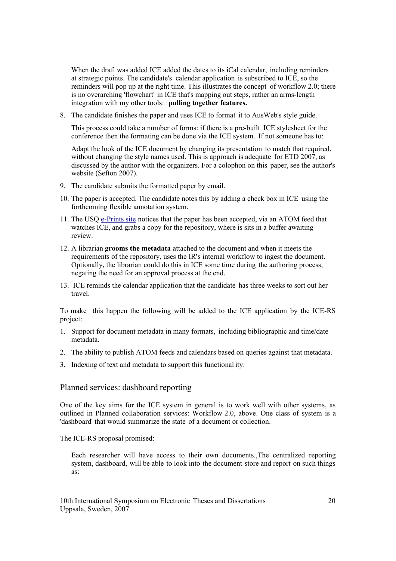When the draft was added ICE added the dates to its iCal calendar, including reminders at strategic points. The candidate's calendar application is subscribed to ICE, so the reminders will pop up at the right time. This illustrates the concept of workflow 2.0; there is no overarching 'flowchart' in ICE that's mapping out steps, rather an arms-length integration with my other tools: **pulling together features.**

8. The candidate finishes the paper and uses ICE to format it to AusWeb's style guide.

This process could take a number of forms: if there is a pre-built ICE stylesheet for the conference then the formating can be done via the ICE system. If not someone has to:

Adapt the look of the ICE document by changing its presentation to match that required, without changing the style names used. This is approach is adequate for ETD 2007, as discussed by the author with the organizers. For a colophon on this paper, see the author's website (Sefton 2007).

- 9. The candidate submits the formatted paper by email.
- 10. The paper is accepted. The candidate notes this by adding a check box in ICE using the forthcoming flexible annotation system.
- 11. The USQ [e-Prints site](http://eprints.usq.edu.au/) notices that the paper has been accepted, via an ATOM feed that watches ICE, and grabs a copy for the repository, where is sits in a buffer awaiting review.
- 12. A librarian **grooms the metadata** attached to the document and when it meets the requirements of the repository, uses the IR's internal workflow to ingest the document. Optionally, the librarian could do this in ICE some time during the authoring process, negating the need for an approval process at the end.
- 13. ICE reminds the calendar application that the candidate has three weeks to sort out her travel.

To make this happen the following will be added to the ICE application by the ICE-RS project:

- 1. Support for document metadata in many formats, including bibliographic and time/date metadata.
- 2. The ability to publish ATOM feeds and calendars based on queries against that metadata.
- 3. Indexing of text and metadata to support this functional ity.

# <span id="page-19-0"></span>Planned services: dashboard reporting

One of the key aims for the ICE system in general is to work well with other systems, as outlined in [Planned collaboration services:](#page-17-0) Workflow 2.0, [above.](#page-17-0) One class of system is a 'dashboard' that would summarize the state of a document or collection.

The ICE-RS proposal promised:

Each researcher will have access to their own documents.,The centralized reporting system, dashboard, will be able to look into the document store and report on such things as: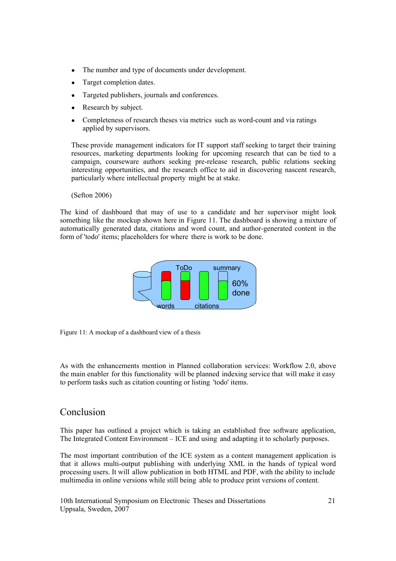- The number and type of documents under development.
- Target completion dates.
- Targeted publishers, journals and conferences.
- Research by subject.
- Completeness of research theses via metrics such as word-count and via ratings applied by supervisors.

These provide management indicators for IT support staff seeking to target their training resources, marketing departments looking for upcoming research that can be tied to a campaign, courseware authors seeking pre-release research, public relations seeking interesting opportunities, and the research office to aid in discovering nascent research, particularly where intellectual property might be at stake.

# (Sefton 2006)

The kind of dashboard that may of use to a candidate and her supervisor might look something like the mockup shown here in Figure [11.](#page-20-0) The dashboard is showing a mixture of automatically generated data, citations and word count, and author-generated content in the form of 'todo' items; placeholders for where there is work to be done.



<span id="page-20-0"></span>Figure 11: A mockup of a dashboard view of a thesis

As with the enhancements mention in [Planned collaboration services: Workflow 2.0,](#page-17-0) [above](#page-17-0) the main enabler for this functionality will be planned indexing service that will make it easy to perform tasks such as citation counting or listing 'todo' items.

# Conclusion

This paper has outlined a project which is taking an established free software application, The Integrated Content Environment – ICE and using and adapting it to scholarly purposes.

The most important contribution of the ICE system as a content management application is that it allows multi-output publishing with underlying XML in the hands of typical word processing users. It will allow publication in both HTML and PDF, with the ability to include multimedia in online versions while still being able to produce print versions of content.

10th International Symposium on Electronic Theses and Dissertations 21 Uppsala, Sweden, 2007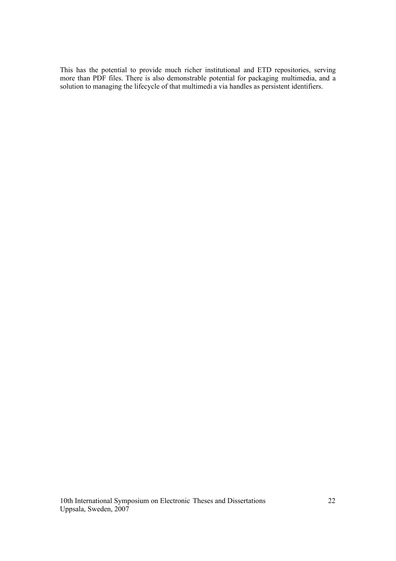This has the potential to provide much richer institutional and ETD repositories, serving more than PDF files. There is also demonstrable potential for packaging multimedia, and a solution to managing the lifecycle of that multimedi a via handles as persistent identifiers.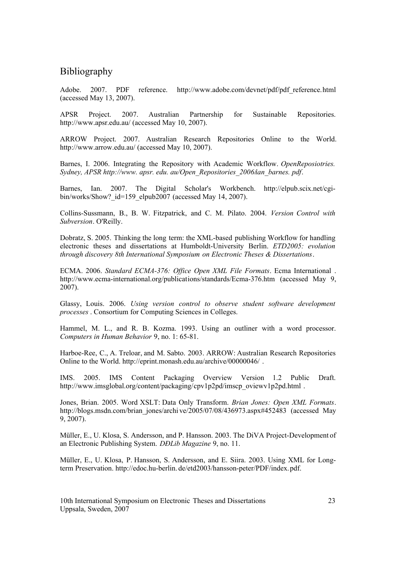# Bibliography

Adobe. 2007. PDF reference. http://www.adobe.com/devnet/pdf/pdf reference.html (accessed May 13, 2007).

APSR Project. 2007. Australian Partnership for Sustainable Repositories. http://www.apsr.edu.au/ (accessed May 10, 2007).

ARROW Project. 2007. Australian Research Repositories Online to the World. http://www.arrow.edu.au/ (accessed May 10, 2007).

Barnes, I. 2006. Integrating the Repository with Academic Workflow. *OpenReposiotries. Sydney, APSR http://www. apsr. edu. au/Open\_Repositories\_2006/ian\_barnes. pdf*.

Barnes, Ian. 2007. The Digital Scholar's Workbench. http://elpub.scix.net/cgibin/works/Show? id=159 elpub2007 (accessed May 14, 2007).

Collins-Sussmann, B., B. W. Fitzpatrick, and C. M. Pilato. 2004. *Version Control with Subversion*. O'Reilly.

Dobratz, S. 2005. Thinking the long term: the XML-based publishing Workflow for handling electronic theses and dissertations at Humboldt-University Berlin. *ETD2005: evolution through discovery 8th International Symposium on Electronic Theses & Dissertations*.

ECMA. 2006. *Standard ECMA-376: Office Open XML File Formats*. Ecma International . http://www.ecma-international.org/publications/standards/Ecma-376.htm (accessed May 9, 2007).

Glassy, Louis. 2006. *Using version control to observe student software development processes* . Consortium for Computing Sciences in Colleges.

Hammel, M. L., and R. B. Kozma. 1993. Using an outliner with a word processor. *Computers in Human Behavior* 9, no. 1: 65-81.

Harboe-Ree, C., A. Treloar, and M. Sabto. 2003. ARROW: Australian Research Repositories Online to the World. http://eprint.monash.edu.au/archive/00000046/ .

IMS. 2005. IMS Content Packaging Overview Version 1.2 Public Draft. http://www.imsglobal.org/content/packaging/cpv1p2pd/imscp\_oviewv1p2pd.html .

Jones, Brian. 2005. Word XSLT: Data Only Transform. *Brian Jones: Open XML Formats*. http://blogs.msdn.com/brian\_jones/archi ve/2005/07/08/436973.aspx#452483 (accessed May 9, 2007).

Müller, E., U. Klosa, S. Andersson, and P. Hansson. 2003. The DiVA Project-Development of an Electronic Publishing System. *DÐLib Magazine* 9, no. 11.

Müller, E., U. Klosa, P. Hansson, S. Andersson, and E. Siira. 2003. Using XML for Longterm Preservation. http://edoc.hu-berlin. de/etd2003/hansson-peter/PDF/index.pdf.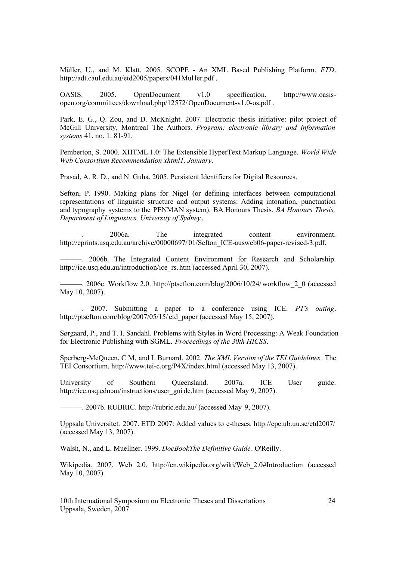Müller, U., and M. Klatt. 2005. SCOPE - An XML Based Publishing Platform. *ETD*. http://adt.caul.edu.au/etd2005/papers/041Mul ler.pdf .

OASIS. 2005. OpenDocument v1.0 specification. http://www.oasisopen.org/committees/download.php/12572/OpenDocument-v1.0-os.pdf .

Park, E. G., Q. Zou, and D. McKnight. 2007. Electronic thesis initiative: pilot project of McGill University, Montreal The Authors. *Program: electronic library and information systems* 41, no. 1: 81-91.

Pemberton, S. 2000. XHTML 1.0: The Extensible HyperText Markup Language. *World Wide Web Consortium Recommendation xhtml1, January*.

Prasad, A. R. D., and N. Guha. 2005. Persistent Identifiers for Digital Resources.

Sefton, P. 1990. Making plans for Nigel (or defining interfaces between computational representations of linguistic structure and output systems: Adding intonation, punctuation and typography systems to the PENMAN system). BA Honours Thesis. *BA Honours Thesis, Department of Linguistics, University of Sydney* .

———. 2006a. The integrated content environment. http://eprints.usq.edu.au/archive/00000697/01/Sefton\_ICE-ausweb06-paper-revised-3.pdf.

———. 2006b. The Integrated Content Environment for Research and Scholarship. http://ice.usq.edu.au/introduction/ice\_rs. htm (accessed April 30, 2007).

 $-$ . 2006c. Workflow 2.0. http://ptsefton.com/blog/2006/10/24/workflow 2.0 (accessed May 10, 2007).

———. 2007. Submitting a paper to a conference using ICE. *PT's outing*. http://ptsefton.com/blog/2007/05/15/ etd\_paper (accessed May 15, 2007).

Sørgaard, P., and T. I. Sandahl. Problems with Styles in Word Processing: A Weak Foundation for Electronic Publishing with SGML. *Proceedings of the 30th HICSS*.

Sperberg-McQueen, C M, and L Burnard. 2002. *The XML Version of the TEI Guidelines*. The TEI Consortium. http://www.tei-c.org/P4X/index.html (accessed May 13, 2007).

University of Southern Queensland. 2007a. ICE User guide. http://ice.usq.edu.au/instructions/user\_gui de.htm (accessed May 9, 2007).

———. 2007b. RUBRIC. http://rubric.edu.au/ (accessed May 9, 2007).

Uppsala Universitet. 2007. ETD 2007: Added values to e-theses. http://epc.ub.uu.se/etd2007/ (accessed May 13, 2007).

Walsh, N., and L. Muellner. 1999. *DocBookThe Definitive Guide*. O'Reilly.

Wikipedia. 2007. Web 2.0. http://en.wikipedia.org/wiki/Web\_2.0#Introduction (accessed May 10, 2007).

10th International Symposium on Electronic Theses and Dissertations 24 Uppsala, Sweden, 2007